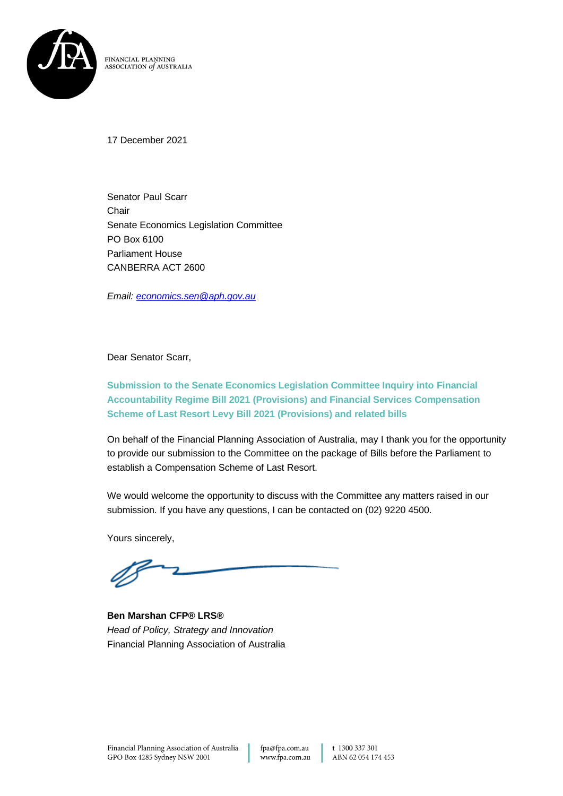

FINANCIAL PLANNING ASSOCIATION of AUSTRALIA

17 December 2021

Senator Paul Scarr **Chair** Senate Economics Legislation Committee PO Box 6100 Parliament House CANBERRA ACT 2600

*Email: [economics.sen@aph.gov.au](mailto:economics.sen@aph.gov.au)*

Dear Senator Scarr,

**Submission to the Senate Economics Legislation Committee Inquiry into Financial Accountability Regime Bill 2021 (Provisions) and Financial Services Compensation Scheme of Last Resort Levy Bill 2021 (Provisions) and related bills**

On behalf of the Financial Planning Association of Australia, may I thank you for the opportunity to provide our submission to the Committee on the package of Bills before the Parliament to establish a Compensation Scheme of Last Resort.

We would welcome the opportunity to discuss with the Committee any matters raised in our submission. If you have any questions, I can be contacted on (02) 9220 4500.

Yours sincerely,

**Ben Marshan CFP® LRS®** *Head of Policy, Strategy and Innovation* Financial Planning Association of Australia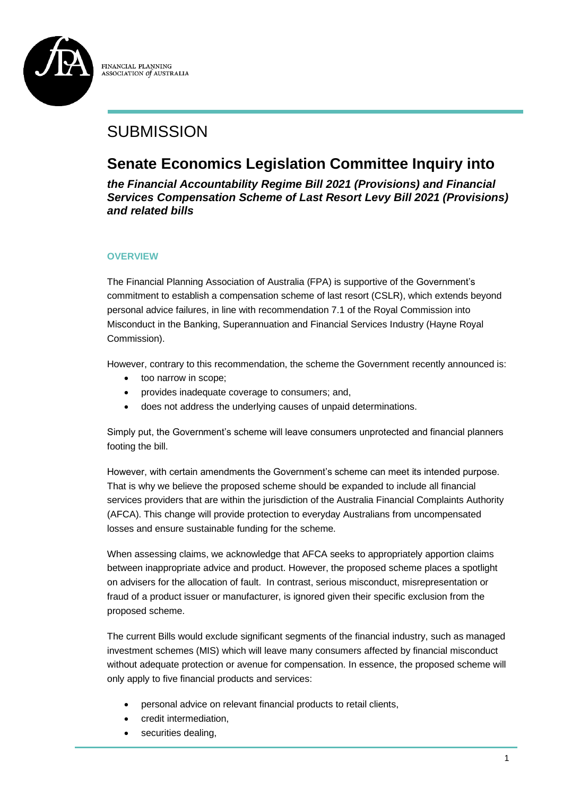

FINANCIAL PLANNING ASSOCIATION *of* AUSTRALIA

# **SUBMISSION**

# **Senate Economics Legislation Committee Inquiry into**

*the Financial Accountability Regime Bill 2021 (Provisions) and Financial Services Compensation Scheme of Last Resort Levy Bill 2021 (Provisions) and related bills*

#### **OVERVIEW**

The Financial Planning Association of Australia (FPA) is supportive of the Government's commitment to establish a compensation scheme of last resort (CSLR), which extends beyond personal advice failures, in line with recommendation 7.1 of the Royal Commission into Misconduct in the Banking, Superannuation and Financial Services Industry (Hayne Royal Commission).

However, contrary to this recommendation, the scheme the Government recently announced is:

- too narrow in scope;
- provides inadequate coverage to consumers; and,
- does not address the underlying causes of unpaid determinations.

Simply put, the Government's scheme will leave consumers unprotected and financial planners footing the bill.

However, with certain amendments the Government's scheme can meet its intended purpose. That is why we believe the proposed scheme should be expanded to include all financial services providers that are within the jurisdiction of the Australia Financial Complaints Authority (AFCA). This change will provide protection to everyday Australians from uncompensated losses and ensure sustainable funding for the scheme.

When assessing claims, we acknowledge that AFCA seeks to appropriately apportion claims between inappropriate advice and product. However, the proposed scheme places a spotlight on advisers for the allocation of fault. In contrast, serious misconduct, misrepresentation or fraud of a product issuer or manufacturer, is ignored given their specific exclusion from the proposed scheme.

The current Bills would exclude significant segments of the financial industry, such as managed investment schemes (MIS) which will leave many consumers affected by financial misconduct without adequate protection or avenue for compensation. In essence, the proposed scheme will only apply to five financial products and services:

- personal advice on relevant financial products to retail clients,
- credit intermediation,
- securities dealing,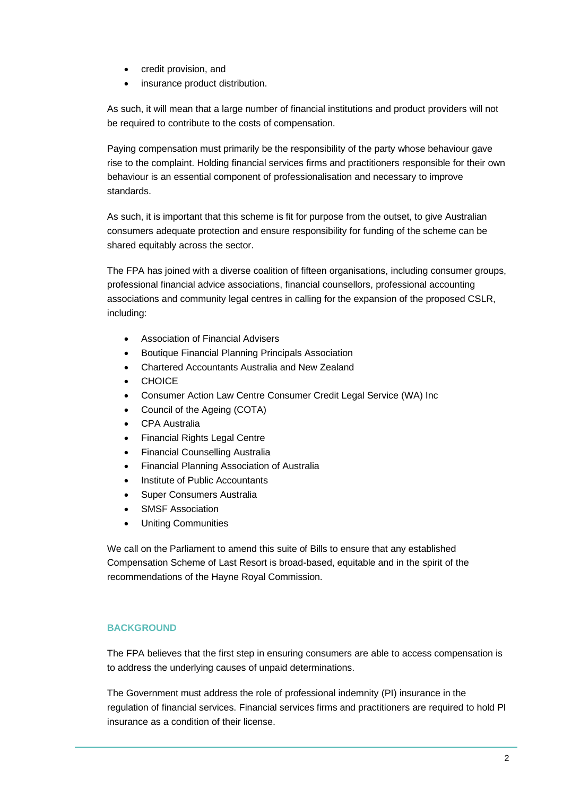- credit provision, and
- insurance product distribution.

As such, it will mean that a large number of financial institutions and product providers will not be required to contribute to the costs of compensation.

Paying compensation must primarily be the responsibility of the party whose behaviour gave rise to the complaint. Holding financial services firms and practitioners responsible for their own behaviour is an essential component of professionalisation and necessary to improve standards.

As such, it is important that this scheme is fit for purpose from the outset, to give Australian consumers adequate protection and ensure responsibility for funding of the scheme can be shared equitably across the sector.

The FPA has joined with a diverse coalition of fifteen organisations, including consumer groups, professional financial advice associations, financial counsellors, professional accounting associations and community legal centres in calling for the expansion of the proposed CSLR, including:

- Association of Financial Advisers
- Boutique Financial Planning Principals Association
- Chartered Accountants Australia and New Zealand
- CHOICE
- Consumer Action Law Centre Consumer Credit Legal Service (WA) Inc
- Council of the Ageing (COTA)
- CPA Australia
- **Financial Rights Legal Centre**
- Financial Counselling Australia
- Financial Planning Association of Australia
- Institute of Public Accountants
- Super Consumers Australia
- SMSF Association
- Uniting Communities

We call on the Parliament to amend this suite of Bills to ensure that any established Compensation Scheme of Last Resort is broad-based, equitable and in the spirit of the recommendations of the Hayne Royal Commission.

#### **BACKGROUND**

The FPA believes that the first step in ensuring consumers are able to access compensation is to address the underlying causes of unpaid determinations.

The Government must address the role of professional indemnity (PI) insurance in the regulation of financial services. Financial services firms and practitioners are required to hold PI insurance as a condition of their license.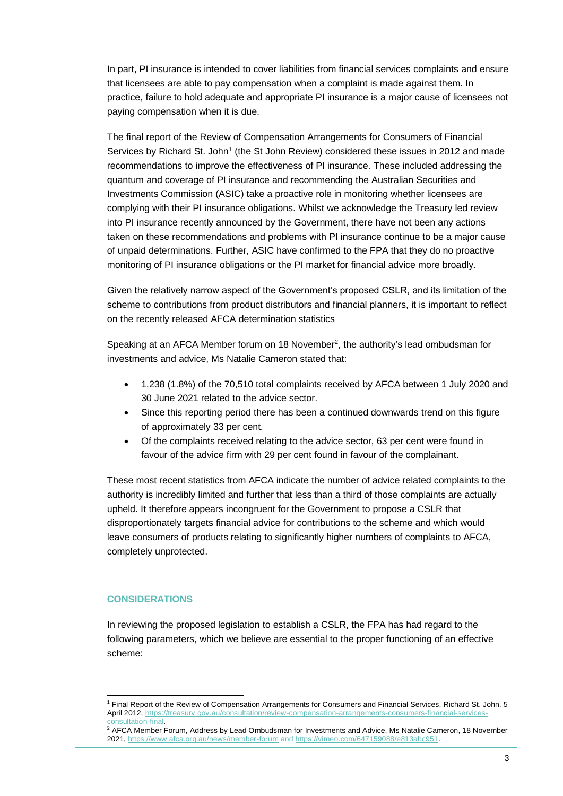In part, PI insurance is intended to cover liabilities from financial services complaints and ensure that licensees are able to pay compensation when a complaint is made against them. In practice, failure to hold adequate and appropriate PI insurance is a major cause of licensees not paying compensation when it is due.

The final report of the Review of Compensation Arrangements for Consumers of Financial Services by Richard St. John<sup>1</sup> (the St John Review) considered these issues in 2012 and made recommendations to improve the effectiveness of PI insurance. These included addressing the quantum and coverage of PI insurance and recommending the Australian Securities and Investments Commission (ASIC) take a proactive role in monitoring whether licensees are complying with their PI insurance obligations. Whilst we acknowledge the Treasury led review into PI insurance recently announced by the Government, there have not been any actions taken on these recommendations and problems with PI insurance continue to be a major cause of unpaid determinations. Further, ASIC have confirmed to the FPA that they do no proactive monitoring of PI insurance obligations or the PI market for financial advice more broadly.

Given the relatively narrow aspect of the Government's proposed CSLR, and its limitation of the scheme to contributions from product distributors and financial planners, it is important to reflect on the recently released AFCA determination statistics

Speaking at an AFCA Member forum on 18 November<sup>2</sup>, the authority's lead ombudsman for investments and advice, Ms Natalie Cameron stated that:

- 1,238 (1.8%) of the 70,510 total complaints received by AFCA between 1 July 2020 and 30 June 2021 related to the advice sector.
- Since this reporting period there has been a continued downwards trend on this figure of approximately 33 per cent.
- Of the complaints received relating to the advice sector, 63 per cent were found in favour of the advice firm with 29 per cent found in favour of the complainant.

These most recent statistics from AFCA indicate the number of advice related complaints to the authority is incredibly limited and further that less than a third of those complaints are actually upheld. It therefore appears incongruent for the Government to propose a CSLR that disproportionately targets financial advice for contributions to the scheme and which would leave consumers of products relating to significantly higher numbers of complaints to AFCA, completely unprotected.

#### **CONSIDERATIONS**

In reviewing the proposed legislation to establish a CSLR, the FPA has had regard to the following parameters, which we believe are essential to the proper functioning of an effective scheme:

<sup>1</sup> Final Report of the Review of Compensation Arrangements for Consumers and Financial Services, Richard St. John, 5 April 2012, [https://treasury.gov.au/consultation/review-compensation-arrangements-consumers-financial-services](https://treasury.gov.au/consultation/review-compensation-arrangements-consumers-financial-services-consultation-final)[consultation-final.](https://treasury.gov.au/consultation/review-compensation-arrangements-consumers-financial-services-consultation-final) 

<sup>2</sup> AFCA Member Forum, Address by Lead Ombudsman for Investments and Advice, Ms Natalie Cameron, 18 November 2021[, https://www.afca.org.au/news/member-forum](https://www.afca.org.au/news/member-forum) an[d https://vimeo.com/647159088/e813abc951.](https://vimeo.com/647159088/e813abc951)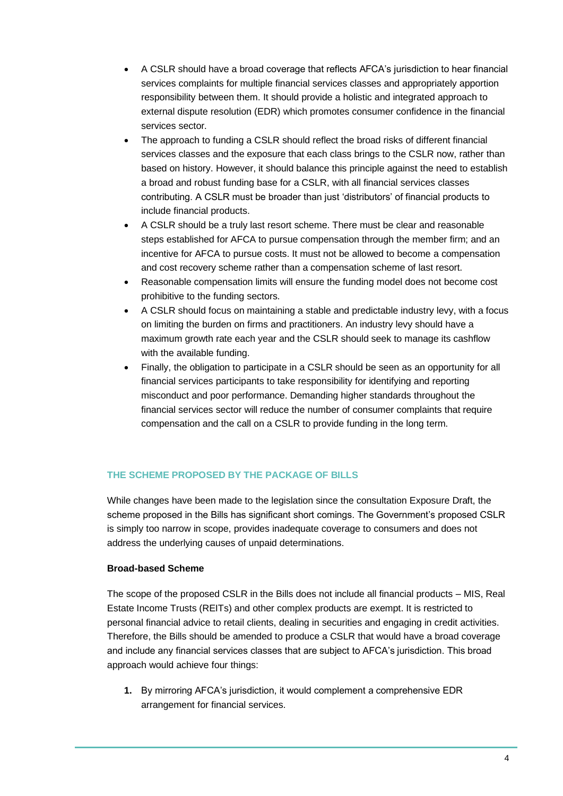- A CSLR should have a broad coverage that reflects AFCA's jurisdiction to hear financial services complaints for multiple financial services classes and appropriately apportion responsibility between them. It should provide a holistic and integrated approach to external dispute resolution (EDR) which promotes consumer confidence in the financial services sector.
- The approach to funding a CSLR should reflect the broad risks of different financial services classes and the exposure that each class brings to the CSLR now, rather than based on history. However, it should balance this principle against the need to establish a broad and robust funding base for a CSLR, with all financial services classes contributing. A CSLR must be broader than just 'distributors' of financial products to include financial products.
- A CSLR should be a truly last resort scheme. There must be clear and reasonable steps established for AFCA to pursue compensation through the member firm; and an incentive for AFCA to pursue costs. It must not be allowed to become a compensation and cost recovery scheme rather than a compensation scheme of last resort.
- Reasonable compensation limits will ensure the funding model does not become cost prohibitive to the funding sectors.
- A CSLR should focus on maintaining a stable and predictable industry levy, with a focus on limiting the burden on firms and practitioners. An industry levy should have a maximum growth rate each year and the CSLR should seek to manage its cashflow with the available funding.
- Finally, the obligation to participate in a CSLR should be seen as an opportunity for all financial services participants to take responsibility for identifying and reporting misconduct and poor performance. Demanding higher standards throughout the financial services sector will reduce the number of consumer complaints that require compensation and the call on a CSLR to provide funding in the long term.

## **THE SCHEME PROPOSED BY THE PACKAGE OF BILLS**

While changes have been made to the legislation since the consultation Exposure Draft, the scheme proposed in the Bills has significant short comings. The Government's proposed CSLR is simply too narrow in scope, provides inadequate coverage to consumers and does not address the underlying causes of unpaid determinations.

#### **Broad-based Scheme**

The scope of the proposed CSLR in the Bills does not include all financial products – MIS, Real Estate Income Trusts (REITs) and other complex products are exempt. It is restricted to personal financial advice to retail clients, dealing in securities and engaging in credit activities. Therefore, the Bills should be amended to produce a CSLR that would have a broad coverage and include any financial services classes that are subject to AFCA's jurisdiction. This broad approach would achieve four things:

**1.** By mirroring AFCA's jurisdiction, it would complement a comprehensive EDR arrangement for financial services.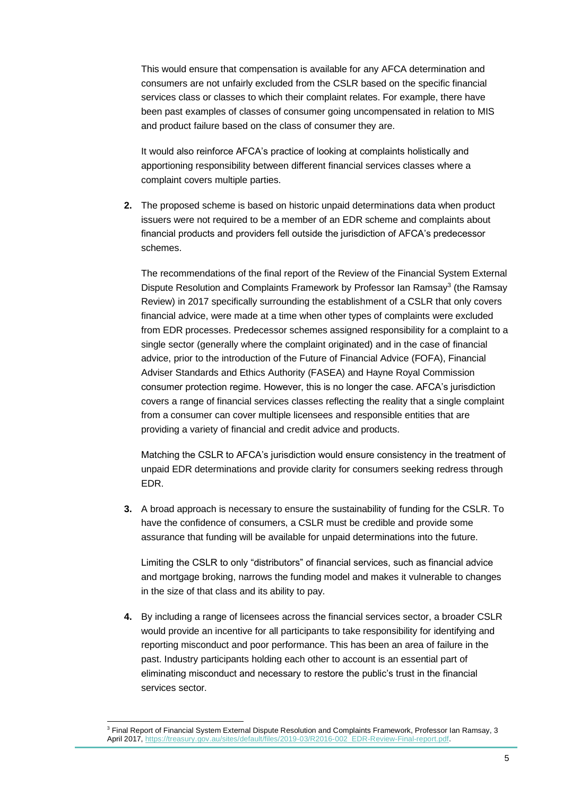This would ensure that compensation is available for any AFCA determination and consumers are not unfairly excluded from the CSLR based on the specific financial services class or classes to which their complaint relates. For example, there have been past examples of classes of consumer going uncompensated in relation to MIS and product failure based on the class of consumer they are.

It would also reinforce AFCA's practice of looking at complaints holistically and apportioning responsibility between different financial services classes where a complaint covers multiple parties.

**2.** The proposed scheme is based on historic unpaid determinations data when product issuers were not required to be a member of an EDR scheme and complaints about financial products and providers fell outside the jurisdiction of AFCA's predecessor schemes.

The recommendations of the final report of the Review of the Financial System External Dispute Resolution and Complaints Framework by Professor Ian Ramsay<sup>3</sup> (the Ramsay Review) in 2017 specifically surrounding the establishment of a CSLR that only covers financial advice, were made at a time when other types of complaints were excluded from EDR processes. Predecessor schemes assigned responsibility for a complaint to a single sector (generally where the complaint originated) and in the case of financial advice, prior to the introduction of the Future of Financial Advice (FOFA), Financial Adviser Standards and Ethics Authority (FASEA) and Hayne Royal Commission consumer protection regime. However, this is no longer the case. AFCA's jurisdiction covers a range of financial services classes reflecting the reality that a single complaint from a consumer can cover multiple licensees and responsible entities that are providing a variety of financial and credit advice and products.

Matching the CSLR to AFCA's jurisdiction would ensure consistency in the treatment of unpaid EDR determinations and provide clarity for consumers seeking redress through EDR.

**3.** A broad approach is necessary to ensure the sustainability of funding for the CSLR. To have the confidence of consumers, a CSLR must be credible and provide some assurance that funding will be available for unpaid determinations into the future.

Limiting the CSLR to only "distributors" of financial services, such as financial advice and mortgage broking, narrows the funding model and makes it vulnerable to changes in the size of that class and its ability to pay.

**4.** By including a range of licensees across the financial services sector, a broader CSLR would provide an incentive for all participants to take responsibility for identifying and reporting misconduct and poor performance. This has been an area of failure in the past. Industry participants holding each other to account is an essential part of eliminating misconduct and necessary to restore the public's trust in the financial services sector.

<sup>&</sup>lt;sup>3</sup> Final Report of Financial System External Dispute Resolution and Complaints Framework, Professor Ian Ramsay, 3 April 2017, [https://treasury.gov.au/sites/default/files/2019-03/R2016-002\\_EDR-Review-Final-report.pdf.](https://treasury.gov.au/sites/default/files/2019-03/R2016-002_EDR-Review-Final-report.pdf)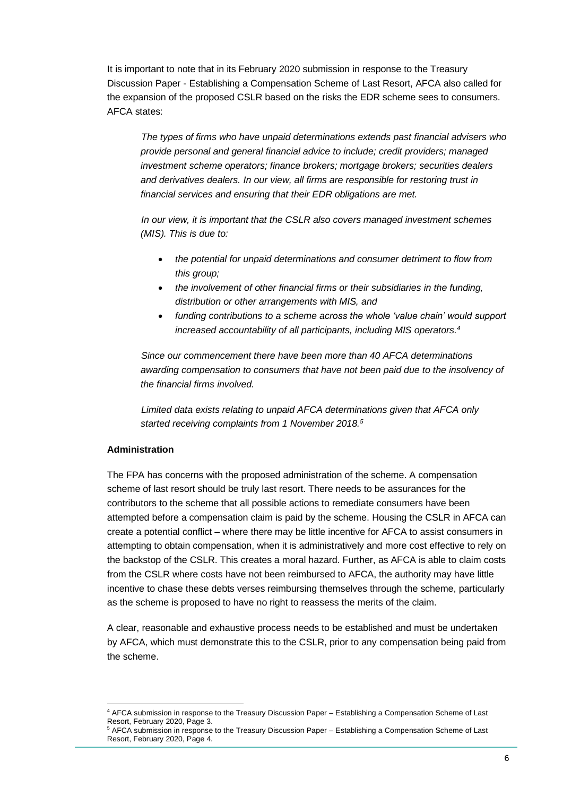It is important to note that in its February 2020 submission in response to the Treasury Discussion Paper - Establishing a Compensation Scheme of Last Resort, AFCA also called for the expansion of the proposed CSLR based on the risks the EDR scheme sees to consumers. AFCA states:

*The types of firms who have unpaid determinations extends past financial advisers who provide personal and general financial advice to include; credit providers; managed investment scheme operators; finance brokers; mortgage brokers; securities dealers and derivatives dealers. In our view, all firms are responsible for restoring trust in financial services and ensuring that their EDR obligations are met.*

*In our view, it is important that the CSLR also covers managed investment schemes (MIS). This is due to:*

- *the potential for unpaid determinations and consumer detriment to flow from this group;*
- *the involvement of other financial firms or their subsidiaries in the funding, distribution or other arrangements with MIS, and*
- *funding contributions to a scheme across the whole 'value chain' would support increased accountability of all participants, including MIS operators.<sup>4</sup>*

*Since our commencement there have been more than 40 AFCA determinations awarding compensation to consumers that have not been paid due to the insolvency of the financial firms involved.*

*Limited data exists relating to unpaid AFCA determinations given that AFCA only started receiving complaints from 1 November 2018.<sup>5</sup>*

#### **Administration**

The FPA has concerns with the proposed administration of the scheme. A compensation scheme of last resort should be truly last resort. There needs to be assurances for the contributors to the scheme that all possible actions to remediate consumers have been attempted before a compensation claim is paid by the scheme. Housing the CSLR in AFCA can create a potential conflict – where there may be little incentive for AFCA to assist consumers in attempting to obtain compensation, when it is administratively and more cost effective to rely on the backstop of the CSLR. This creates a moral hazard. Further, as AFCA is able to claim costs from the CSLR where costs have not been reimbursed to AFCA, the authority may have little incentive to chase these debts verses reimbursing themselves through the scheme, particularly as the scheme is proposed to have no right to reassess the merits of the claim.

A clear, reasonable and exhaustive process needs to be established and must be undertaken by AFCA, which must demonstrate this to the CSLR, prior to any compensation being paid from the scheme.

<sup>4</sup> AFCA submission in response to the Treasury Discussion Paper – Establishing a Compensation Scheme of Last Resort, February 2020, Page 3.

<sup>5</sup> AFCA submission in response to the Treasury Discussion Paper – Establishing a Compensation Scheme of Last Resort, February 2020, Page 4.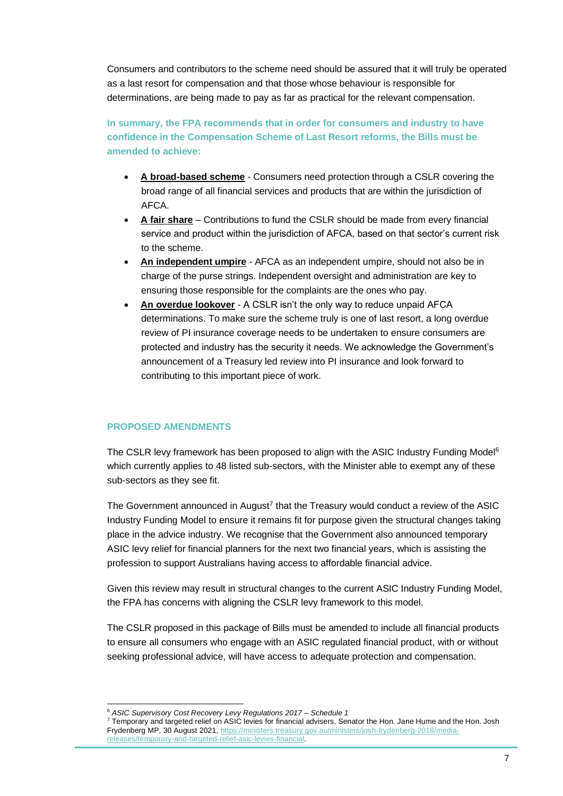Consumers and contributors to the scheme need should be assured that it will truly be operated as a last resort for compensation and that those whose behaviour is responsible for determinations, are being made to pay as far as practical for the relevant compensation.

**In summary, the FPA recommends that in order for consumers and industry to have confidence in the Compensation Scheme of Last Resort reforms, the Bills must be amended to achieve:**

- **A broad-based scheme** Consumers need protection through a CSLR covering the broad range of all financial services and products that are within the jurisdiction of AFCA.
- **A fair share** Contributions to fund the CSLR should be made from every financial service and product within the jurisdiction of AFCA, based on that sector's current risk to the scheme.
- **An independent umpire** AFCA as an independent umpire, should not also be in charge of the purse strings. Independent oversight and administration are key to ensuring those responsible for the complaints are the ones who pay.
- **An overdue lookover** A CSLR isn't the only way to reduce unpaid AFCA determinations. To make sure the scheme truly is one of last resort, a long overdue review of PI insurance coverage needs to be undertaken to ensure consumers are protected and industry has the security it needs. We acknowledge the Government's announcement of a Treasury led review into PI insurance and look forward to contributing to this important piece of work.

### **PROPOSED AMENDMENTS**

The CSLR levy framework has been proposed to align with the ASIC Industry Funding Model<sup>6</sup> which currently applies to 48 listed sub-sectors, with the Minister able to exempt any of these sub-sectors as they see fit.

The Government announced in August<sup>7</sup> that the Treasury would conduct a review of the ASIC Industry Funding Model to ensure it remains fit for purpose given the structural changes taking place in the advice industry. We recognise that the Government also announced temporary ASIC levy relief for financial planners for the next two financial years, which is assisting the profession to support Australians having access to affordable financial advice.

Given this review may result in structural changes to the current ASIC Industry Funding Model, the FPA has concerns with aligning the CSLR levy framework to this model.

The CSLR proposed in this package of Bills must be amended to include all financial products to ensure all consumers who engage with an ASIC regulated financial product, with or without seeking professional advice, will have access to adequate protection and compensation.

<sup>6</sup> *ASIC Supervisory Cost Recovery Levy Regulations 2017 – Schedule 1*

 $7$  Temporary and targeted relief on ASIC levies for financial advisers, Senator the Hon. Jane Hume and the Hon. Josh Frydenberg MP, 30 August 2021, [https://ministers.treasury.gov.au/ministers/josh-frydenberg-2018/media](https://ministers.treasury.gov.au/ministers/josh-frydenberg-2018/media-releases/temporary-and-targeted-relief-asic-levies-financial)[releases/temporary-and-targeted-relief-asic-levies-financial.](https://ministers.treasury.gov.au/ministers/josh-frydenberg-2018/media-releases/temporary-and-targeted-relief-asic-levies-financial)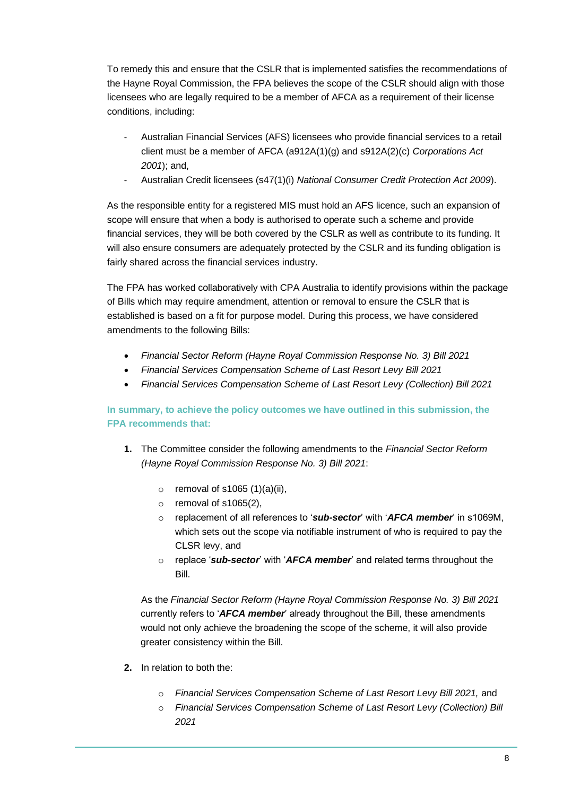To remedy this and ensure that the CSLR that is implemented satisfies the recommendations of the Hayne Royal Commission, the FPA believes the scope of the CSLR should align with those licensees who are legally required to be a member of AFCA as a requirement of their license conditions, including:

- Australian Financial Services (AFS) licensees who provide financial services to a retail client must be a member of AFCA (a912A(1)(g) and s912A(2)(c) *Corporations Act 2001*); and,
- Australian Credit licensees (s47(1)(i) *National Consumer Credit Protection Act 2009*).

As the responsible entity for a registered MIS must hold an AFS licence, such an expansion of scope will ensure that when a body is authorised to operate such a scheme and provide financial services, they will be both covered by the CSLR as well as contribute to its funding. It will also ensure consumers are adequately protected by the CSLR and its funding obligation is fairly shared across the financial services industry.

The FPA has worked collaboratively with CPA Australia to identify provisions within the package of Bills which may require amendment, attention or removal to ensure the CSLR that is established is based on a fit for purpose model. During this process, we have considered amendments to the following Bills:

- *Financial Sector Reform (Hayne Royal Commission Response No. 3) Bill 2021*
- *Financial Services Compensation Scheme of Last Resort Levy Bill 2021*
- *Financial Services Compensation Scheme of Last Resort Levy (Collection) Bill 2021*

**In summary, to achieve the policy outcomes we have outlined in this submission, the FPA recommends that:**

- **1.** The Committee consider the following amendments to the *Financial Sector Reform (Hayne Royal Commission Response No. 3) Bill 2021*:
	- $\circ$  removal of s1065 (1)(a)(ii),
	- $\circ$  removal of s1065(2),
	- o replacement of all references to '*sub-sector*' with '*AFCA member*' in s1069M, which sets out the scope via notifiable instrument of who is required to pay the CLSR levy, and
	- o replace '*sub-sector*' with '*AFCA member*' and related terms throughout the Bill.

As the *Financial Sector Reform (Hayne Royal Commission Response No. 3) Bill 2021* currently refers to '*AFCA member*' already throughout the Bill, these amendments would not only achieve the broadening the scope of the scheme, it will also provide greater consistency within the Bill.

- **2.** In relation to both the:
	- o *Financial Services Compensation Scheme of Last Resort Levy Bill 2021,* and
	- o *Financial Services Compensation Scheme of Last Resort Levy (Collection) Bill 2021*